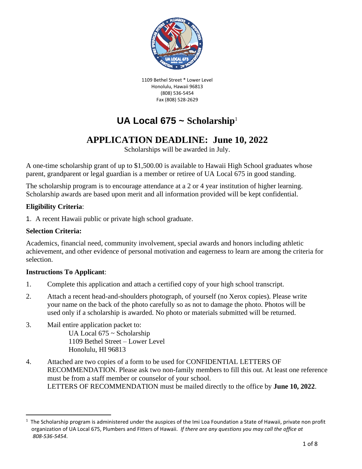

1109 Bethel Street \* Lower Level Honolulu, Hawaii 96813 (808) 536-5454 Fax (808) 528-2629

# **UA Local 675 ~ Scholarship**<sup>1</sup>

# **APPLICATION DEADLINE: June 10, 2022**

Scholarships will be awarded in July.

A one-time scholarship grant of up to \$1,500.00 is available to Hawaii High School graduates whose parent, grandparent or legal guardian is a member or retiree of UA Local 675 in good standing.

The scholarship program is to encourage attendance at a 2 or 4 year institution of higher learning. Scholarship awards are based upon merit and all information provided will be kept confidential.

#### **Eligibility Criteria**:

1. A recent Hawaii public or private high school graduate.

#### **Selection Criteria:**

Academics, financial need, community involvement, special awards and honors including athletic achievement, and other evidence of personal motivation and eagerness to learn are among the criteria for selection.

#### **Instructions To Applicant**:

- 1. Complete this application and attach a certified copy of your high school transcript.
- 2. Attach a recent head-and-shoulders photograph, of yourself (no Xerox copies). Please write your name on the back of the photo carefully so as not to damage the photo. Photos will be used only if a scholarship is awarded. No photo or materials submitted will be returned.
- 3. Mail entire application packet to: UA Local 675 ~ Scholarship 1109 Bethel Street – Lower Level Honolulu, HI 96813
- 4. Attached are two copies of a form to be used for CONFIDENTIAL LETTERS OF RECOMMENDATION. Please ask two non-family members to fill this out. At least one reference must be from a staff member or counselor of your school. LETTERS OF RECOMMENDATION must be mailed directly to the office by **June 10, 2022**.

 $^1$  The Scholarship program is administered under the auspices of the Imi Loa Foundation a State of Hawaii, private non profit organization of UA Local 675, Plumbers and Fitters of Hawaii. *If there are any questions you may call the office at 808-536-5454*.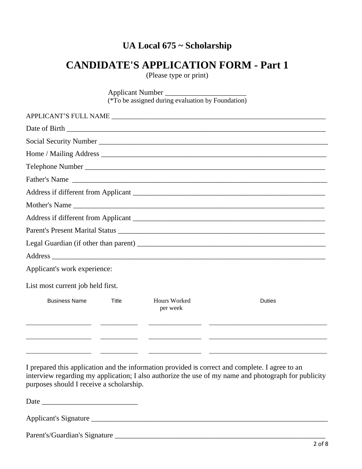# **CANDIDATE'S APPLICATION FORM - Part 1**

(Please type or print)

|                                   |              | Applicant Number                                  |                  |  |  |  |  |  |  |
|-----------------------------------|--------------|---------------------------------------------------|------------------|--|--|--|--|--|--|
|                                   |              | (*To be assigned during evaluation by Foundation) |                  |  |  |  |  |  |  |
|                                   |              |                                                   |                  |  |  |  |  |  |  |
|                                   |              |                                                   |                  |  |  |  |  |  |  |
|                                   |              |                                                   |                  |  |  |  |  |  |  |
|                                   |              |                                                   |                  |  |  |  |  |  |  |
|                                   |              |                                                   | Telephone Number |  |  |  |  |  |  |
| Father's Name                     |              |                                                   |                  |  |  |  |  |  |  |
|                                   |              |                                                   |                  |  |  |  |  |  |  |
|                                   |              |                                                   |                  |  |  |  |  |  |  |
|                                   |              |                                                   |                  |  |  |  |  |  |  |
|                                   |              |                                                   |                  |  |  |  |  |  |  |
|                                   |              |                                                   |                  |  |  |  |  |  |  |
|                                   |              |                                                   |                  |  |  |  |  |  |  |
| Applicant's work experience:      |              |                                                   |                  |  |  |  |  |  |  |
| List most current job held first. |              |                                                   |                  |  |  |  |  |  |  |
| <b>Business Name</b>              | <b>Title</b> | Hours Worked<br>per week                          | <b>Duties</b>    |  |  |  |  |  |  |
|                                   |              |                                                   |                  |  |  |  |  |  |  |
|                                   |              |                                                   |                  |  |  |  |  |  |  |
|                                   |              |                                                   |                  |  |  |  |  |  |  |

I prepared this application and the information provided is correct and complete. I agree to an interview regarding my application; I also authorize the use of my name and photograph for publicity purposes should I receive a scholarship.

Date \_\_\_\_\_\_\_\_\_\_\_\_\_\_\_\_\_\_\_\_\_\_\_\_\_\_

Applicant's Signature \_\_\_\_\_\_\_\_\_\_\_\_\_\_\_\_\_\_\_\_\_\_\_\_\_\_\_\_\_\_\_\_\_\_\_\_\_\_\_\_\_\_\_\_\_\_\_\_\_\_\_\_\_\_\_\_\_\_\_\_\_\_\_\_

Parent's/Guardian's Signature \_\_\_\_\_\_\_\_\_\_\_\_\_\_\_\_\_\_\_\_\_\_\_\_\_\_\_\_\_\_\_\_\_\_\_\_\_\_\_\_\_\_\_\_\_\_\_\_\_\_\_\_\_\_\_\_\_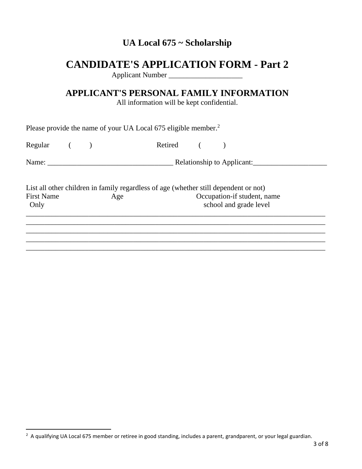# **CANDIDATE'S APPLICATION FORM - Part 2**

Applicant Number

## **APPLICANT'S PERSONAL FAMILY INFORMATION**

All information will be kept confidential.

|                           |  | Please provide the name of your UA Local 675 eligible member. <sup>2</sup>                  |                                                       |  |
|---------------------------|--|---------------------------------------------------------------------------------------------|-------------------------------------------------------|--|
| $Regular$ ( )             |  | Retired ( )                                                                                 |                                                       |  |
|                           |  |                                                                                             | Relationship to Applicant:                            |  |
| <b>First Name</b><br>Only |  | List all other children in family regardless of age (whether still dependent or not)<br>Age | Occupation-if student, name<br>school and grade level |  |
|                           |  |                                                                                             |                                                       |  |
|                           |  |                                                                                             |                                                       |  |

 $2$  A qualifying UA Local 675 member or retiree in good standing, includes a parent, grandparent, or your legal guardian.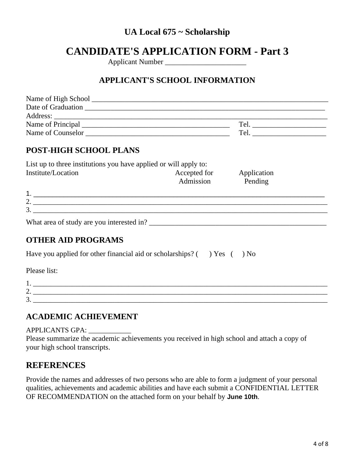# **CANDIDATE'S APPLICATION FORM - Part 3**

Applicant Number

#### **APPLICANT'S SCHOOL INFORMATION**

| Name of High School |     |
|---------------------|-----|
| Date of Graduation  |     |
| Address:            |     |
| Name of Principal   | Tel |
| Name of Counselor   | Tel |
|                     |     |

#### **POST-HIGH SCHOOL PLANS**

| List up to three institutions you have applied or will apply to: |              |             |  |  |  |  |
|------------------------------------------------------------------|--------------|-------------|--|--|--|--|
| Institute/Location                                               | Accepted for | Application |  |  |  |  |
|                                                                  | Admission    | Pending     |  |  |  |  |

| <u>.</u> |  |
|----------|--|
| ັ        |  |

What area of study are you interested in? \_\_\_\_\_\_\_\_\_\_\_\_\_\_\_\_\_\_\_\_\_\_\_\_\_\_\_\_\_\_\_\_\_\_\_\_\_\_\_\_\_\_\_\_\_\_\_\_

#### **OTHER AID PROGRAMS**

Have you applied for other financial aid or scholarships?  $($  ) Yes  $($  ) No

Please list:

| <b>.</b>      |  |
|---------------|--|
| -<br><u>.</u> |  |
| -<br>ັ        |  |

#### **ACADEMIC ACHIEVEMENT**

APPLICANTS GPA: \_\_\_\_\_\_\_\_\_\_\_\_

Please summarize the academic achievements you received in high school and attach a copy of your high school transcripts.

#### **REFERENCES**

Provide the names and addresses of two persons who are able to form a judgment of your personal qualities, achievements and academic abilities and have each submit a CONFIDENTIAL LETTER OF RECOMMENDATION on the attached form on your behalf by **June 10th**.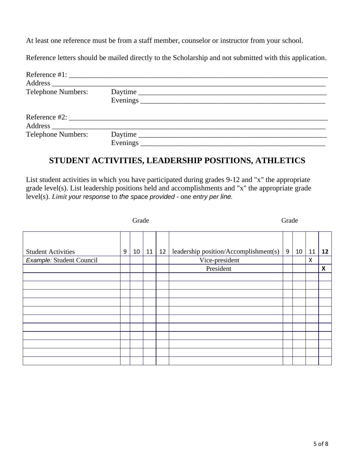At least one reference must be from a staff member, counselor or instructor from your school.

Reference letters should be mailed directly to the Scholarship and not submitted with this application.

| <b>Telephone Numbers:</b>                                                                                                                                                                                                     | Daytime |
|-------------------------------------------------------------------------------------------------------------------------------------------------------------------------------------------------------------------------------|---------|
| Reference #2: $\frac{1}{2}$ The set of the set of the set of the set of the set of the set of the set of the set of the set of the set of the set of the set of the set of the set of the set of the set of the set of the se |         |
| <b>Telephone Numbers:</b>                                                                                                                                                                                                     | Daytime |

#### **STUDENT ACTIVITIES, LEADERSHIP POSITIONS, ATHLETICS**

List student activities in which you have participated during grades 9-12 and "x" the appropriate grade level(s). List leadership positions held and accomplishments and "x" the appropriate grade level(s). *Limit your response* to *the space provided* - one *entry per line.*

|                           | Grade |    |    |    | Grade                                 |   |    |    |                |
|---------------------------|-------|----|----|----|---------------------------------------|---|----|----|----------------|
|                           |       |    |    |    |                                       |   |    |    |                |
| <b>Student Activities</b> | 9     | 10 | 11 | 12 | leadership position/Accomplishment(s) | 9 | 10 | 11 | 12             |
| Example: Student Council  |       |    |    |    | Vice-president                        |   |    | X  |                |
|                           |       |    |    |    | President                             |   |    |    | $\pmb{\times}$ |
|                           |       |    |    |    |                                       |   |    |    |                |
|                           |       |    |    |    |                                       |   |    |    |                |
|                           |       |    |    |    |                                       |   |    |    |                |
|                           |       |    |    |    |                                       |   |    |    |                |
|                           |       |    |    |    |                                       |   |    |    |                |
|                           |       |    |    |    |                                       |   |    |    |                |
|                           |       |    |    |    |                                       |   |    |    |                |
|                           |       |    |    |    |                                       |   |    |    |                |
|                           |       |    |    |    |                                       |   |    |    |                |
|                           |       |    |    |    |                                       |   |    |    |                |
|                           |       |    |    |    |                                       |   |    |    |                |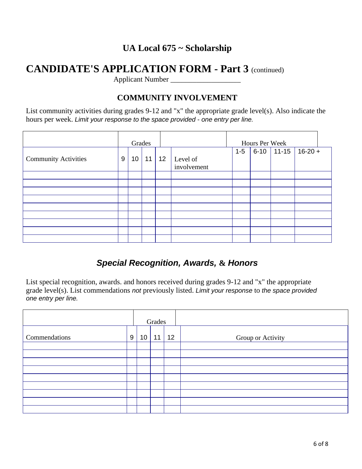# **CANDIDATE'S APPLICATION FORM - Part 3** (continued)

Applicant Number \_\_\_\_\_\_\_\_\_\_\_\_\_\_\_\_\_\_\_

### **COMMUNITY INVOLVEMENT**

List community activities during grades 9-12 and "x" the appropriate grade level(s). Also indicate the hours per week. *Limit your response to the space provided* - *one entry per line.*

|                             |       | Grades          |    |    |                         |         | Hours Per Week |           |           |  |
|-----------------------------|-------|-----------------|----|----|-------------------------|---------|----------------|-----------|-----------|--|
| <b>Community Activities</b> | $9\,$ | 10 <sup>°</sup> | 11 | 12 | Level of<br>involvement | $1 - 5$ | $6-10$         | $11 - 15$ | $16-20 +$ |  |
|                             |       |                 |    |    |                         |         |                |           |           |  |
|                             |       |                 |    |    |                         |         |                |           |           |  |
|                             |       |                 |    |    |                         |         |                |           |           |  |
|                             |       |                 |    |    |                         |         |                |           |           |  |
|                             |       |                 |    |    |                         |         |                |           |           |  |
|                             |       |                 |    |    |                         |         |                |           |           |  |
|                             |       |                 |    |    |                         |         |                |           |           |  |
|                             |       |                 |    |    |                         |         |                |           |           |  |
|                             |       |                 |    |    |                         |         |                |           |           |  |

### *Special Recognition, Awards,* **&** *Honors*

List special recognition, awards. and honors received during grades 9-12 and "x" the appropriate grade level(s). List commendations *not* previously listed. *Limit your response* to *the space provided one entry per line.*

|               |   | Grades |    |    |                   |
|---------------|---|--------|----|----|-------------------|
| Commendations | 9 | 10     | 11 | 12 | Group or Activity |
|               |   |        |    |    |                   |
|               |   |        |    |    |                   |
|               |   |        |    |    |                   |
|               |   |        |    |    |                   |
|               |   |        |    |    |                   |
|               |   |        |    |    |                   |
|               |   |        |    |    |                   |
|               |   |        |    |    |                   |
|               |   |        |    |    |                   |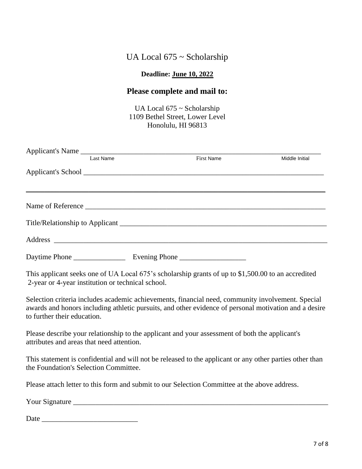### **Deadline: June 10, 2022**

## **Please complete and mail to:**

UA Local 675 ~ Scholarship 1109 Bethel Street, Lower Level Honolulu, HI 96813

|                                           | Applicant's Name                                  |                                                                                                                                                                                                            |                |
|-------------------------------------------|---------------------------------------------------|------------------------------------------------------------------------------------------------------------------------------------------------------------------------------------------------------------|----------------|
|                                           | Last Name                                         | First Name                                                                                                                                                                                                 | Middle Initial |
|                                           |                                                   |                                                                                                                                                                                                            |                |
|                                           |                                                   |                                                                                                                                                                                                            |                |
|                                           |                                                   |                                                                                                                                                                                                            |                |
|                                           |                                                   |                                                                                                                                                                                                            |                |
|                                           |                                                   |                                                                                                                                                                                                            |                |
|                                           | 2-year or 4-year institution or technical school. | This applicant seeks one of UA Local 675's scholarship grants of up to \$1,500.00 to an accredited                                                                                                         |                |
| to further their education.               |                                                   | Selection criteria includes academic achievements, financial need, community involvement. Special<br>awards and honors including athletic pursuits, and other evidence of personal motivation and a desire |                |
| attributes and areas that need attention. |                                                   | Please describe your relationship to the applicant and your assessment of both the applicant's                                                                                                             |                |
| the Foundation's Selection Committee.     |                                                   | This statement is confidential and will not be released to the applicant or any other parties other than                                                                                                   |                |
|                                           |                                                   | Please attach letter to this form and submit to our Selection Committee at the above address.                                                                                                              |                |
|                                           |                                                   | Your Signature                                                                                                                                                                                             |                |
|                                           |                                                   |                                                                                                                                                                                                            |                |

Date \_\_\_\_\_\_\_\_\_\_\_\_\_\_\_\_\_\_\_\_\_\_\_\_\_\_